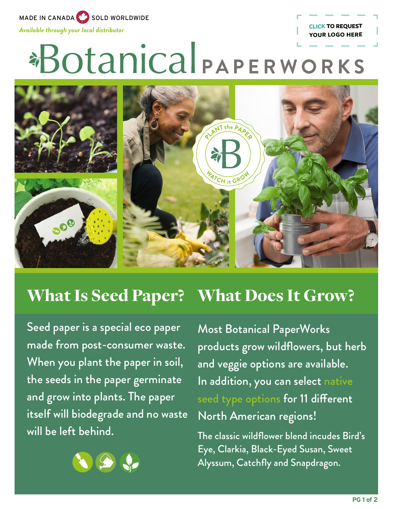MADE IN CANADA SOLD WORLDWIDE

*Available through your local distributor* **[CLICK TO REQUEST](mailto:promo%40botanicalpaperworks.com?subject=Add%20my%20Logo%20to%20About%20Seed%20Paper%20Flyer)** 

# \*Botanical PAPERWORKS



#### What Does It Grow? What Is Seed Paper?

Seed paper is a special eco paper made from post-consumer waste. When you plant the paper in soil, the seeds in the paper germinate and grow into plants. The paper itself will biodegrade and no waste will be left behind.



Most Botanical PaperWorks products grow wildflowers, but herb and veggie options are available. In addition, you can select [native](https://www.botanicalpaperworks.com/native-species-seed-paper)  [seed type options](https://www.botanicalpaperworks.com/native-species-seed-paper) for 11 different North American regions!

**YOUR LOGO HERE**

The classic wildflower blend incudes Bird's Eye, Clarkia, Black-Eyed Susan, Sweet Alyssum, Catchfly and Snapdragon.